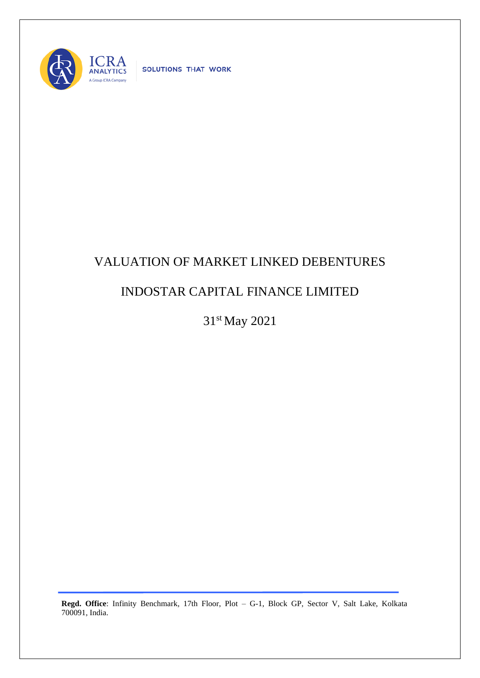

SOLUTIONS THAT WORK

## VALUATION OF MARKET LINKED DEBENTURES

## INDOSTAR CAPITAL FINANCE LIMITED

31st May 2021

**Regd. Office**: Infinity Benchmark, 17th Floor, Plot – G-1, Block GP, Sector V, Salt Lake, Kolkata 700091, India.